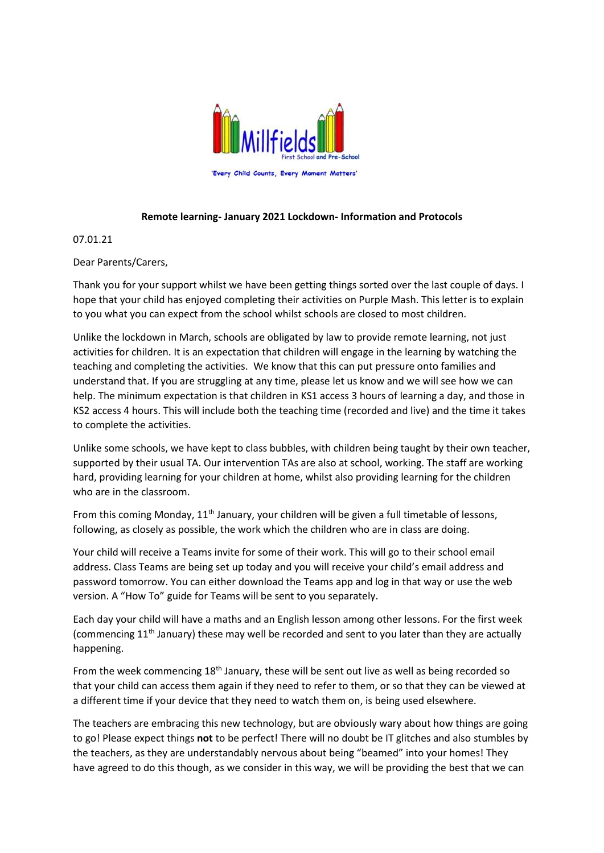

## **Remote learning- January 2021 Lockdown- Information and Protocols**

07.01.21

Dear Parents/Carers,

Thank you for your support whilst we have been getting things sorted over the last couple of days. I hope that your child has enjoyed completing their activities on Purple Mash. This letter is to explain to you what you can expect from the school whilst schools are closed to most children.

Unlike the lockdown in March, schools are obligated by law to provide remote learning, not just activities for children. It is an expectation that children will engage in the learning by watching the teaching and completing the activities. We know that this can put pressure onto families and understand that. If you are struggling at any time, please let us know and we will see how we can help. The minimum expectation is that children in KS1 access 3 hours of learning a day, and those in KS2 access 4 hours. This will include both the teaching time (recorded and live) and the time it takes to complete the activities.

Unlike some schools, we have kept to class bubbles, with children being taught by their own teacher, supported by their usual TA. Our intervention TAs are also at school, working. The staff are working hard, providing learning for your children at home, whilst also providing learning for the children who are in the classroom.

From this coming Monday, 11<sup>th</sup> January, your children will be given a full timetable of lessons, following, as closely as possible, the work which the children who are in class are doing.

Your child will receive a Teams invite for some of their work. This will go to their school email address. Class Teams are being set up today and you will receive your child's email address and password tomorrow. You can either download the Teams app and log in that way or use the web version. A "How To" guide for Teams will be sent to you separately.

Each day your child will have a maths and an English lesson among other lessons. For the first week (commencing 11<sup>th</sup> January) these may well be recorded and sent to you later than they are actually happening.

From the week commencing 18<sup>th</sup> January, these will be sent out live as well as being recorded so that your child can access them again if they need to refer to them, or so that they can be viewed at a different time if your device that they need to watch them on, is being used elsewhere.

The teachers are embracing this new technology, but are obviously wary about how things are going to go! Please expect things **not** to be perfect! There will no doubt be IT glitches and also stumbles by the teachers, as they are understandably nervous about being "beamed" into your homes! They have agreed to do this though, as we consider in this way, we will be providing the best that we can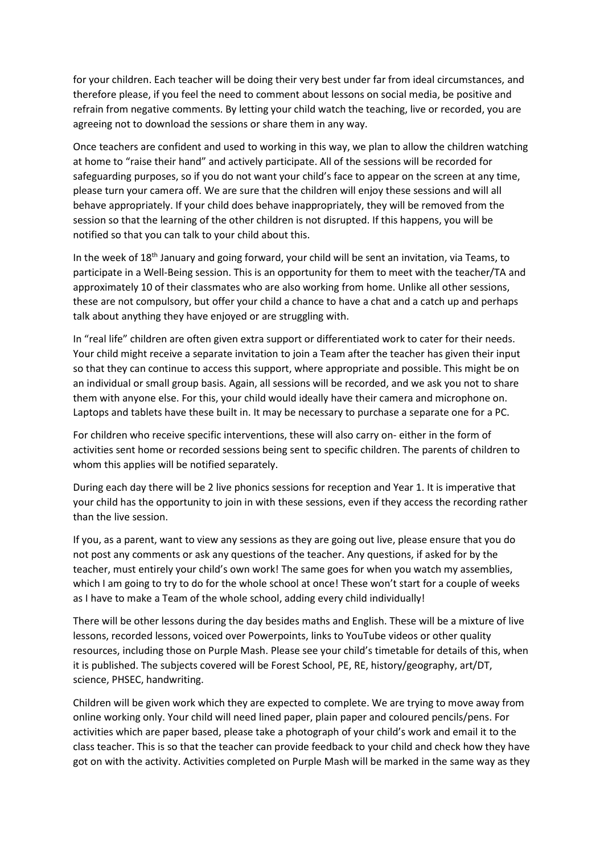for your children. Each teacher will be doing their very best under far from ideal circumstances, and therefore please, if you feel the need to comment about lessons on social media, be positive and refrain from negative comments. By letting your child watch the teaching, live or recorded, you are agreeing not to download the sessions or share them in any way.

Once teachers are confident and used to working in this way, we plan to allow the children watching at home to "raise their hand" and actively participate. All of the sessions will be recorded for safeguarding purposes, so if you do not want your child's face to appear on the screen at any time, please turn your camera off. We are sure that the children will enjoy these sessions and will all behave appropriately. If your child does behave inappropriately, they will be removed from the session so that the learning of the other children is not disrupted. If this happens, you will be notified so that you can talk to your child about this.

In the week of 18<sup>th</sup> January and going forward, your child will be sent an invitation, via Teams, to participate in a Well-Being session. This is an opportunity for them to meet with the teacher/TA and approximately 10 of their classmates who are also working from home. Unlike all other sessions, these are not compulsory, but offer your child a chance to have a chat and a catch up and perhaps talk about anything they have enjoyed or are struggling with.

In "real life" children are often given extra support or differentiated work to cater for their needs. Your child might receive a separate invitation to join a Team after the teacher has given their input so that they can continue to access this support, where appropriate and possible. This might be on an individual or small group basis. Again, all sessions will be recorded, and we ask you not to share them with anyone else. For this, your child would ideally have their camera and microphone on. Laptops and tablets have these built in. It may be necessary to purchase a separate one for a PC.

For children who receive specific interventions, these will also carry on- either in the form of activities sent home or recorded sessions being sent to specific children. The parents of children to whom this applies will be notified separately.

During each day there will be 2 live phonics sessions for reception and Year 1. It is imperative that your child has the opportunity to join in with these sessions, even if they access the recording rather than the live session.

If you, as a parent, want to view any sessions as they are going out live, please ensure that you do not post any comments or ask any questions of the teacher. Any questions, if asked for by the teacher, must entirely your child's own work! The same goes for when you watch my assemblies, which I am going to try to do for the whole school at once! These won't start for a couple of weeks as I have to make a Team of the whole school, adding every child individually!

There will be other lessons during the day besides maths and English. These will be a mixture of live lessons, recorded lessons, voiced over Powerpoints, links to YouTube videos or other quality resources, including those on Purple Mash. Please see your child's timetable for details of this, when it is published. The subjects covered will be Forest School, PE, RE, history/geography, art/DT, science, PHSEC, handwriting.

Children will be given work which they are expected to complete. We are trying to move away from online working only. Your child will need lined paper, plain paper and coloured pencils/pens. For activities which are paper based, please take a photograph of your child's work and email it to the class teacher. This is so that the teacher can provide feedback to your child and check how they have got on with the activity. Activities completed on Purple Mash will be marked in the same way as they